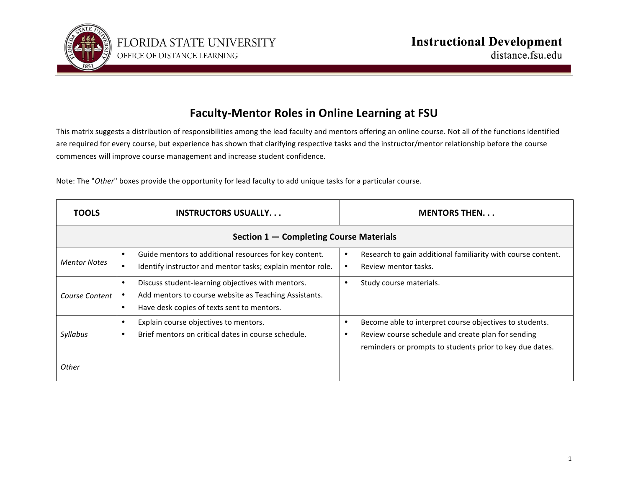

## **Faculty-Mentor Roles in Online Learning at FSU**

This matrix suggests a distribution of responsibilities among the lead faculty and mentors offering an online course. Not all of the functions identified are required for every course, but experience has shown that clarifying respective tasks and the instructor/mentor relationship before the course commences will improve course management and increase student confidence.

Note: The "Other" boxes provide the opportunity for lead faculty to add unique tasks for a particular course.

| <b>TOOLS</b>                            | <b>INSTRUCTORS USUALLY</b>                                                                                                                                            | <b>MENTORS THEN</b>                                                                                                                                                       |
|-----------------------------------------|-----------------------------------------------------------------------------------------------------------------------------------------------------------------------|---------------------------------------------------------------------------------------------------------------------------------------------------------------------------|
| Section 1 – Completing Course Materials |                                                                                                                                                                       |                                                                                                                                                                           |
| <b>Mentor Notes</b>                     | Guide mentors to additional resources for key content.<br>$\bullet$<br>Identify instructor and mentor tasks; explain mentor role.                                     | Research to gain additional familiarity with course content.<br>Review mentor tasks.                                                                                      |
| Course Content                          | Discuss student-learning objectives with mentors.<br>$\bullet$<br>Add mentors to course website as Teaching Assistants.<br>Have desk copies of texts sent to mentors. | Study course materials.                                                                                                                                                   |
| Syllabus                                | Explain course objectives to mentors.<br>٠<br>Brief mentors on critical dates in course schedule.                                                                     | Become able to interpret course objectives to students.<br>Review course schedule and create plan for sending<br>reminders or prompts to students prior to key due dates. |
| Other                                   |                                                                                                                                                                       |                                                                                                                                                                           |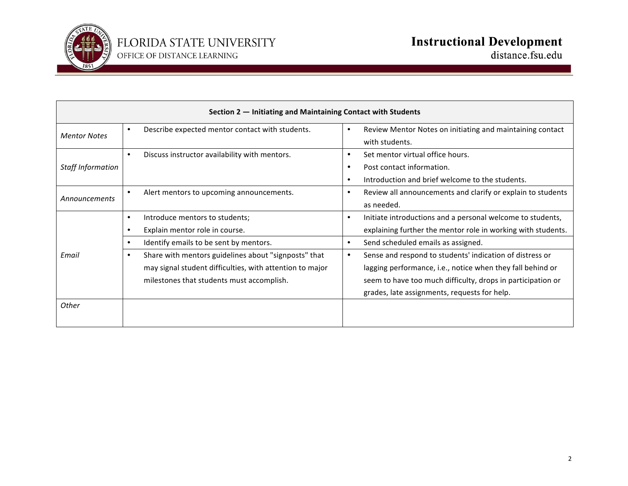

| Section 2 – Initiating and Maintaining Contact with Students |                                                              |                                                                          |
|--------------------------------------------------------------|--------------------------------------------------------------|--------------------------------------------------------------------------|
| <b>Mentor Notes</b>                                          | Describe expected mentor contact with students.<br>$\bullet$ | Review Mentor Notes on initiating and maintaining contact<br>$\bullet$   |
|                                                              |                                                              | with students.                                                           |
|                                                              | Discuss instructor availability with mentors.<br>$\bullet$   | Set mentor virtual office hours.<br>$\bullet$                            |
| <b>Staff Information</b>                                     |                                                              | Post contact information.<br>$\bullet$                                   |
|                                                              |                                                              | Introduction and brief welcome to the students.<br>$\bullet$             |
| Announcements                                                | Alert mentors to upcoming announcements.                     | Review all announcements and clarify or explain to students<br>$\bullet$ |
|                                                              |                                                              | as needed.                                                               |
|                                                              | Introduce mentors to students;                               | Initiate introductions and a personal welcome to students,<br>$\bullet$  |
|                                                              | Explain mentor role in course.                               | explaining further the mentor role in working with students.             |
| Email                                                        | Identify emails to be sent by mentors.                       | Send scheduled emails as assigned.<br>$\bullet$                          |
|                                                              | Share with mentors guidelines about "signposts" that         | Sense and respond to students' indication of distress or<br>$\bullet$    |
|                                                              | may signal student difficulties, with attention to major     | lagging performance, i.e., notice when they fall behind or               |
|                                                              | milestones that students must accomplish.                    | seem to have too much difficulty, drops in participation or              |
|                                                              |                                                              | grades, late assignments, requests for help.                             |
| Other                                                        |                                                              |                                                                          |
|                                                              |                                                              |                                                                          |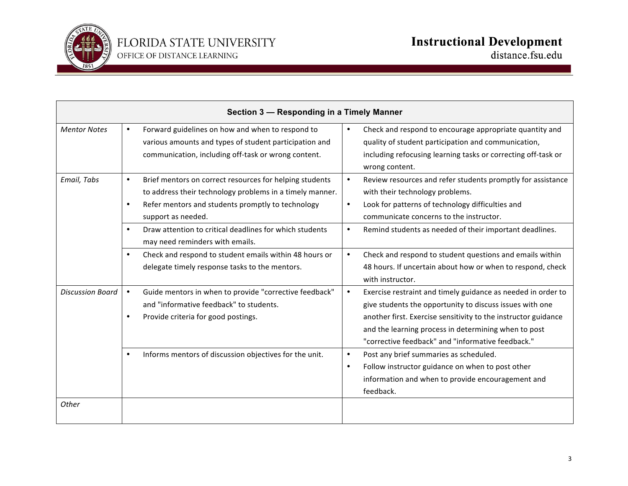

| Section 3 - Responding in a Timely Manner |                                                                                                                                                                                                                                                                                                                                     |                                                                                                                                                                                                                                                                                                                      |
|-------------------------------------------|-------------------------------------------------------------------------------------------------------------------------------------------------------------------------------------------------------------------------------------------------------------------------------------------------------------------------------------|----------------------------------------------------------------------------------------------------------------------------------------------------------------------------------------------------------------------------------------------------------------------------------------------------------------------|
| <b>Mentor Notes</b>                       | Forward guidelines on how and when to respond to<br>$\bullet$<br>various amounts and types of student participation and<br>communication, including off-task or wrong content.                                                                                                                                                      | Check and respond to encourage appropriate quantity and<br>$\bullet$<br>quality of student participation and communication,<br>including refocusing learning tasks or correcting off-task or<br>wrong content.                                                                                                       |
| Email, Tabs                               | Brief mentors on correct resources for helping students<br>$\bullet$<br>to address their technology problems in a timely manner.<br>Refer mentors and students promptly to technology<br>$\bullet$<br>support as needed.<br>Draw attention to critical deadlines for which students<br>$\bullet$<br>may need reminders with emails. | Review resources and refer students promptly for assistance<br>$\bullet$<br>with their technology problems.<br>Look for patterns of technology difficulties and<br>$\bullet$<br>communicate concerns to the instructor.<br>Remind students as needed of their important deadlines.<br>$\bullet$                      |
|                                           | Check and respond to student emails within 48 hours or<br>$\bullet$<br>delegate timely response tasks to the mentors.                                                                                                                                                                                                               | Check and respond to student questions and emails within<br>$\bullet$<br>48 hours. If uncertain about how or when to respond, check<br>with instructor.                                                                                                                                                              |
| <b>Discussion Board</b>                   | Guide mentors in when to provide "corrective feedback"<br>$\bullet$<br>and "informative feedback" to students.<br>Provide criteria for good postings.<br>$\bullet$                                                                                                                                                                  | $\bullet$<br>Exercise restraint and timely guidance as needed in order to<br>give students the opportunity to discuss issues with one<br>another first. Exercise sensitivity to the instructor guidance<br>and the learning process in determining when to post<br>"corrective feedback" and "informative feedback." |
| Other                                     | Informs mentors of discussion objectives for the unit.<br>$\bullet$                                                                                                                                                                                                                                                                 | Post any brief summaries as scheduled.<br>$\bullet$<br>Follow instructor guidance on when to post other<br>$\bullet$<br>information and when to provide encouragement and<br>feedback.                                                                                                                               |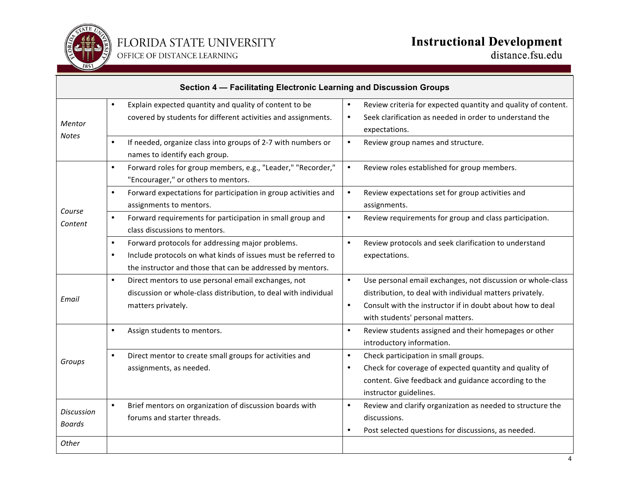

## **Instructional Development**<br>distance.fsu.edu

| Section 4 - Facilitating Electronic Learning and Discussion Groups |                                                                                                                                                                                                           |                                                                                                                                                                                                                                                    |
|--------------------------------------------------------------------|-----------------------------------------------------------------------------------------------------------------------------------------------------------------------------------------------------------|----------------------------------------------------------------------------------------------------------------------------------------------------------------------------------------------------------------------------------------------------|
| Mentor<br><b>Notes</b>                                             | Explain expected quantity and quality of content to be<br>$\bullet$<br>covered by students for different activities and assignments.                                                                      | Review criteria for expected quantity and quality of content.<br>$\bullet$<br>Seek clarification as needed in order to understand the<br>$\bullet$<br>expectations.                                                                                |
|                                                                    | If needed, organize class into groups of 2-7 with numbers or<br>$\bullet$<br>names to identify each group.                                                                                                | $\bullet$<br>Review group names and structure.                                                                                                                                                                                                     |
| Course<br>Content                                                  | Forward roles for group members, e.g., "Leader," "Recorder,"<br>$\bullet$<br>"Encourager," or others to mentors.                                                                                          | $\bullet$<br>Review roles established for group members.                                                                                                                                                                                           |
|                                                                    | Forward expectations for participation in group activities and<br>$\bullet$<br>assignments to mentors.                                                                                                    | Review expectations set for group activities and<br>$\bullet$<br>assignments.                                                                                                                                                                      |
|                                                                    | Forward requirements for participation in small group and<br>$\bullet$<br>class discussions to mentors.                                                                                                   | Review requirements for group and class participation.<br>$\bullet$                                                                                                                                                                                |
|                                                                    | Forward protocols for addressing major problems.<br>$\bullet$<br>Include protocols on what kinds of issues must be referred to<br>$\bullet$<br>the instructor and those that can be addressed by mentors. | $\bullet$<br>Review protocols and seek clarification to understand<br>expectations.                                                                                                                                                                |
| Email                                                              | Direct mentors to use personal email exchanges, not<br>$\bullet$<br>discussion or whole-class distribution, to deal with individual<br>matters privately.                                                 | $\bullet$<br>Use personal email exchanges, not discussion or whole-class<br>distribution, to deal with individual matters privately.<br>$\bullet$<br>Consult with the instructor if in doubt about how to deal<br>with students' personal matters. |
|                                                                    | Assign students to mentors.<br>$\bullet$                                                                                                                                                                  | Review students assigned and their homepages or other<br>$\bullet$<br>introductory information.                                                                                                                                                    |
| Groups                                                             | Direct mentor to create small groups for activities and<br>$\bullet$<br>assignments, as needed.                                                                                                           | Check participation in small groups.<br>$\bullet$<br>Check for coverage of expected quantity and quality of<br>$\bullet$<br>content. Give feedback and guidance according to the<br>instructor guidelines.                                         |
| <b>Discussion</b><br><b>Boards</b>                                 | Brief mentors on organization of discussion boards with<br>$\bullet$<br>forums and starter threads.                                                                                                       | Review and clarify organization as needed to structure the<br>$\bullet$<br>discussions.<br>Post selected questions for discussions, as needed.<br>$\bullet$                                                                                        |
| Other                                                              |                                                                                                                                                                                                           |                                                                                                                                                                                                                                                    |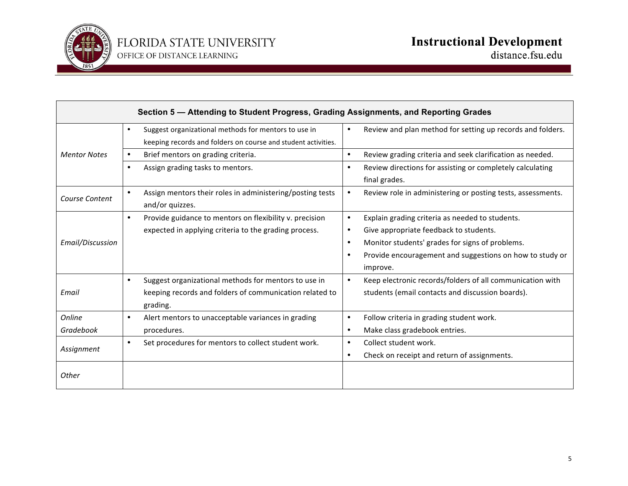

| Section 5 - Attending to Student Progress, Grading Assignments, and Reporting Grades |                                                                                                                                          |                                                                                                                                                                                                                                                              |
|--------------------------------------------------------------------------------------|------------------------------------------------------------------------------------------------------------------------------------------|--------------------------------------------------------------------------------------------------------------------------------------------------------------------------------------------------------------------------------------------------------------|
|                                                                                      | Suggest organizational methods for mentors to use in<br>$\bullet$<br>keeping records and folders on course and student activities.       | Review and plan method for setting up records and folders.<br>$\bullet$                                                                                                                                                                                      |
| <b>Mentor Notes</b>                                                                  | Brief mentors on grading criteria.                                                                                                       | Review grading criteria and seek clarification as needed.<br>$\bullet$                                                                                                                                                                                       |
|                                                                                      | Assign grading tasks to mentors.<br>$\bullet$                                                                                            | Review directions for assisting or completely calculating<br>$\bullet$<br>final grades.                                                                                                                                                                      |
| Course Content                                                                       | Assign mentors their roles in administering/posting tests<br>$\bullet$<br>and/or quizzes.                                                | Review role in administering or posting tests, assessments.<br>$\bullet$                                                                                                                                                                                     |
| Email/Discussion                                                                     | Provide guidance to mentors on flexibility v. precision<br>$\bullet$<br>expected in applying criteria to the grading process.            | Explain grading criteria as needed to students.<br>$\bullet$<br>Give appropriate feedback to students.<br>$\bullet$<br>Monitor students' grades for signs of problems.<br>$\bullet$<br>Provide encouragement and suggestions on how to study or<br>$\bullet$ |
| Email                                                                                | Suggest organizational methods for mentors to use in<br>$\bullet$<br>keeping records and folders of communication related to<br>grading. | improve.<br>Keep electronic records/folders of all communication with<br>$\bullet$<br>students (email contacts and discussion boards).                                                                                                                       |
| Online<br>Gradebook                                                                  | Alert mentors to unacceptable variances in grading<br>$\bullet$<br>procedures.                                                           | Follow criteria in grading student work.<br>$\bullet$<br>Make class gradebook entries.<br>$\bullet$                                                                                                                                                          |
| Assignment                                                                           | Set procedures for mentors to collect student work.<br>$\bullet$                                                                         | Collect student work.<br>$\bullet$<br>Check on receipt and return of assignments.<br>$\bullet$                                                                                                                                                               |
| Other                                                                                |                                                                                                                                          |                                                                                                                                                                                                                                                              |